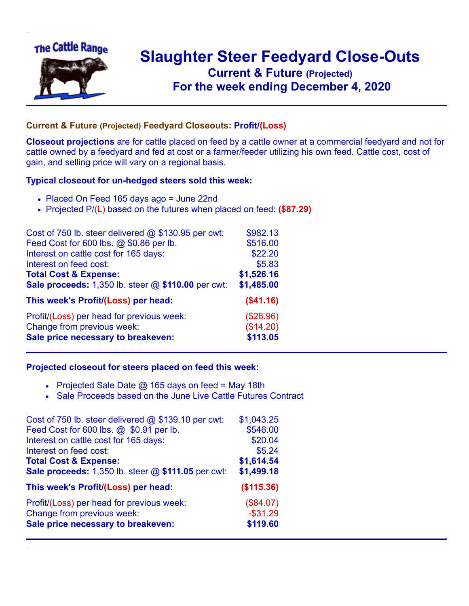

## **Slaughter Steer Feedyard Close-Outs Current & Future (Projected)** .**For the week ending December 4, 2020**

## **Current & Future (Projected) Feedyard Closeouts: Profit/(Loss)**

**Closeout projections** are for cattle placed on feed by a cattle owner at a commercial feedyard and not for cattle owned by a feedyard and fed at cost or a farmer/feeder utilizing his own feed. Cattle cost, cost of gain, and selling price will vary on a regional basis.

## **Typical closeout for un-hedged steers sold this week:**

- Placed On Feed 165 days ago = June 22nd
- Projected P/(L) based on the futures when placed on feed: **(\$87.29)**

| Cost of 750 lb. steer delivered @ \$130.95 per cwt:    | \$982.13   |
|--------------------------------------------------------|------------|
| Feed Cost for 600 lbs. @ \$0.86 per lb.                | \$516.00   |
| Interest on cattle cost for 165 days:                  | \$22.20    |
| Interest on feed cost:                                 | \$5.83     |
| <b>Total Cost &amp; Expense:</b>                       | \$1,526.16 |
| Sale proceeds: $1,350$ lb. steer $@$ \$110.00 per cwt: | \$1,485.00 |
| This week's Profit/(Loss) per head:                    | (\$41.16)  |
| Profit/(Loss) per head for previous week:              | (\$26.96)  |
| Change from previous week:                             | (\$14.20)  |
| Sale price necessary to breakeven:                     | \$113.05   |

## **Projected closeout for steers placed on feed this week:**

- Projected Sale Date  $@$  165 days on feed = May 18th
- Sale Proceeds based on the June Live Cattle Futures Contract

| Cost of 750 lb. steer delivered $@$ \$139.10 per cwt: | \$1,043.25  |
|-------------------------------------------------------|-------------|
| Feed Cost for 600 lbs. @ \$0.91 per lb.               | \$546.00    |
| Interest on cattle cost for 165 days:                 | \$20.04     |
| Interest on feed cost:                                | \$5.24      |
| <b>Total Cost &amp; Expense:</b>                      | \$1,614.54  |
| Sale proceeds: 1,350 lb. steer @ \$111.05 per cwt:    | \$1,499.18  |
| This week's Profit/(Loss) per head:                   | (\$115.36)  |
| Profit/(Loss) per head for previous week:             | (\$84.07)   |
| Change from previous week:                            | $-$ \$31.29 |
| Sale price necessary to breakeven:                    | \$119.60    |
|                                                       |             |